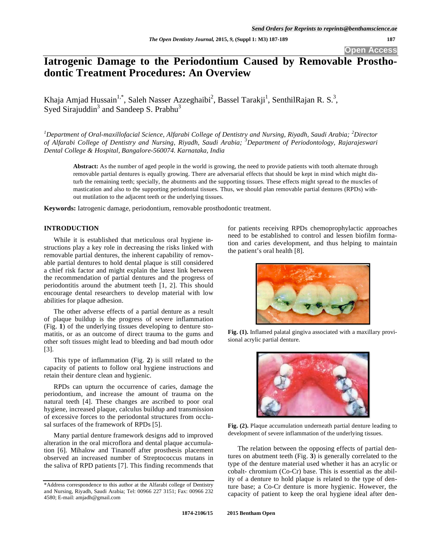**Open Access** 

# **Iatrogenic Damage to the Periodontium Caused by Removable Prosthodontic Treatment Procedures: An Overview**

Khaja Amjad Hussain<sup>1,\*</sup>, Saleh Nasser Azzeghaibi<sup>2</sup>, Bassel Tarakji<sup>1</sup>, SenthilRajan R. S.<sup>3</sup>, Syed Sirajuddin<sup>3</sup> and Sandeep S. Prabhu<sup>3</sup>

<sup>1</sup>Department of Oral-maxillofacial Science, Alfarabi College of Dentistry and Nursing, Riyadh, Saudi Arabia; <sup>2</sup>Director *of Alfarabi College of Dentistry and Nursing, Riyadh, Saudi Arabia; <sup>3</sup> Department of Periodontology, Rajarajeswari Dental College & Hospital, Bangalore-560074. Karnataka, India* 

**Abstract:** As the number of aged people in the world is growing, the need to provide patients with tooth alternate through removable partial dentures is equally growing. There are adversarial effects that should be kept in mind which might disturb the remaining teeth; specially, the abutments and the supporting tissues. These effects might spread to the muscles of mastication and also to the supporting periodontal tissues. Thus, we should plan removable partial dentures (RPDs) without mutilation to the adjacent teeth or the underlying tissues.

**Keywords:** Iatrogenic damage, periodontium, removable prosthodontic treatment.

# **INTRODUCTION**

While it is established that meticulous oral hygiene instructions play a key role in decreasing the risks linked with removable partial dentures, the inherent capability of removable partial dentures to hold dental plaque is still considered a chief risk factor and might explain the latest link between the recommendation of partial dentures and the progress of periodontitis around the abutment teeth [1, 2]. This should encourage dental researchers to develop material with low abilities for plaque adhesion.

The other adverse effects of a partial denture as a result of plaque buildup is the progress of severe inflammation (Fig. **1**) of the underlying tissues developing to denture stomatitis, or as an outcome of direct trauma to the gums and other soft tissues might lead to bleeding and bad mouth odor [3].

This type of inflammation (Fig. **2**) is still related to the capacity of patients to follow oral hygiene instructions and retain their denture clean and hygienic.

RPDs can upturn the occurrence of caries, damage the periodontium, and increase the amount of trauma on the natural teeth [4]. These changes are ascribed to poor oral hygiene, increased plaque, calculus buildup and transmission of excessive forces to the periodontal structures from occlusal surfaces of the framework of RPDs [5].

Many partial denture framework designs add to improved alteration in the oral microflora and dental plaque accumulation [6]. Mihalow and Tinanoff after prosthesis placement observed an increased number of Streptococcus mutans in the saliva of RPD patients [7]. This finding recommends that for patients receiving RPDs chemoprophylactic approaches need to be established to control and lessen biofilm formation and caries development, and thus helping to maintain the patient's oral health [8].



**Fig. (1).** Inflamed palatal gingiva associated with a maxillary provisional acrylic partial denture.



**Fig. (2).** Plaque accumulation underneath partial denture leading to development of severe inflammation of the underlying tissues.

The relation between the opposing effects of partial dentures on abutment teeth (Fig. **3**) is generally correlated to the type of the denture material used whether it has an acrylic or cobalt- chromium (Co-Cr) base. This is essential as the ability of a denture to hold plaque is related to the type of denture base; a Co-Cr denture is more hygienic. However, the capacity of patient to keep the oral hygiene ideal after den-

<sup>\*</sup>Address correspondence to this author at the Alfarabi college of Dentistry and Nursing, Riyadh, Saudi Arabia; Tel: 00966 227 3151; Fax: 00966 232 4580; E-mail: amjadh@gmail.com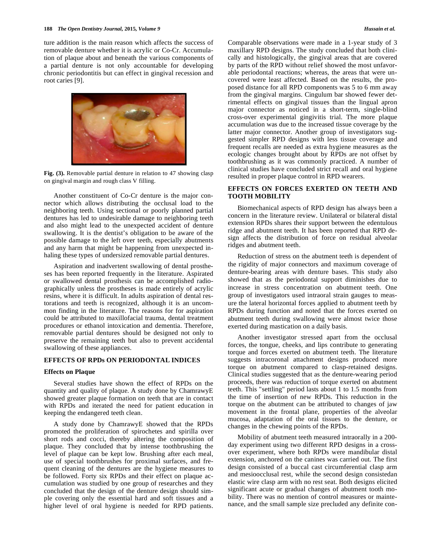ture addition is the main reason which affects the success of removable denture whether it is acrylic or Co-Cr. Accumulation of plaque about and beneath the various components of a partial denture is not only accountable for developing chronic periodontitis but can effect in gingival recession and root caries [9].



**Fig. (3).** Removable partial denture in relation to 47 showing clasp on gingival margin and rough class V filling.

Another constituent of Co-Cr denture is the major connector which allows distributing the occlusal load to the neighboring teeth. Using sectional or poorly planned partial dentures has led to undesirable damage to neighboring teeth and also might lead to the unexpected accident of denture swallowing. It is the dentist's obligation to be aware of the possible damage to the left over teeth, especially abutments and any harm that might be happening from unexpected inhaling these types of undersized removable partial dentures.

Aspiration and inadvertent swallowing of dental prostheses has been reported frequently in the literature. Aspirated or swallowed dental prosthesis can be accomplished radiographically unless the prostheses is made entirely of acrylic resins, where it is difficult. In adults aspiration of dental restorations and teeth is recognized, although it is an uncommon finding in the literature. The reasons for for aspiration could be attributed to maxillofacial trauma, dental treatment procedures or ethanol intoxication and dementia. Therefore, removable partial dentures should be designed not only to preserve the remaining teeth but also to prevent accidental swallowing of these appliances.

## **EFFECTS OF RPDs ON PERIODONTAL INDICES**

#### **Effects on Plaque**

Several studies have shown the effect of RPDs on the quantity and quality of plaque. A study done by ChamrawyE showed greater plaque formation on teeth that are in contact with RPDs and iterated the need for patient education in keeping the endangered teeth clean.

A study done by ChamrawyE showed that the RPDs promoted the proliferation of spirochetes and spirilla over short rods and cocci, thereby altering the composition of plaque. They concluded that by intense toothbrushing the level of plaque can be kept low. Brushing after each meal, use of special toothbrushes for proximal surfaces, and frequent cleaning of the dentures are the hygiene measures to be followed. Forty six RPDs and their effect on plaque accumulation was studied by one group of researches and they concluded that the design of the denture design should simple covering only the essential hard and soft tissues and a higher level of oral hygiene is needed for RPD patients.

Comparable observations were made in a 1-year study of 3 maxillary RPD designs. The study concluded that both clinically and histologically, the gingival areas that are covered by parts of the RPD without relief showed the most unfavorable periodontal reactions; whereas, the areas that were uncovered were least affected. Based on the results, the proposed distance for all RPD components was 5 to 6 mm away from the gingival margins. Cingulum bar showed fewer detrimental effects on gingival tissues than the lingual apron major connector as noticed in a short-term, single-blind cross-over experimental gingivitis trial. The more plaque accumulation was due to the increased tissue coverage by the latter major connector. Another group of investigators suggested simpler RPD designs with less tissue coverage and frequent recalls are needed as extra hygiene measures as the ecologic changes brought about by RPDs are not offset by toothbrushing as it was commonly practiced. A number of clinical studies have concluded strict recall and oral hygiene resulted in proper plaque control in RPD wearers.

# **EFFECTS ON FORCES EXERTED ON TEETH AND TOOTH MOBILITY**

Biomechanical aspects of RPD design has always been a concern in the literature review. Unilateral or bilateral distal extension RPDs shares their support between the edentulous ridge and abutment teeth. It has been reported that RPD design affects the distribution of force on residual alveolar ridges and abutment teeth.

Reduction of stress on the abutment teeth is dependent of the rigidity of major connectors and maximum coverage of denture-bearing areas with denture bases. This study also showed that as the periodontal support diminishes due to increase in stress concentration on abutment teeth. One group of investigators used intraoral strain gauges to measure the lateral horizontal forces applied to abutment teeth by RPDs during function and noted that the forces exerted on abutment teeth during swallowing were almost twice those exerted during mastication on a daily basis.

Another investigator stressed apart from the occlusal forces, the tongue, cheeks, and lips contribute to generating torque and forces exerted on abutment teeth. The literature suggests intracoronal attachment designs produced more torque on abutment compared to clasp-retained designs. Clinical studies suggested that as the denture-wearing period proceeds, there was reduction of torque exerted on abutment teeth. This "settling" period lasts about 1 to 1.5 months from the time of insertion of new RPDs. This reduction in the torque on the abutment can be attributed to changes of jaw movement in the frontal plane, properties of the alveolar mucosa, adaptation of the oral tissues to the denture, or changes in the chewing points of the RPDs.

Mobility of abutment teeth measured intraorally in a 200 day experiment using two different RPD designs in a crossover experiment, where both RPDs were mandibular distal extension, anchored on the canines was carried out. The first design consisted of a buccal cast circumferential clasp arm and mesioocclusal rest, while the second design consistedan elastic wire clasp arm with no rest seat. Both designs elicited significant acute or gradual changes of abutment tooth mobility. There was no mention of control measures or maintenance, and the small sample size precluded any definite con-